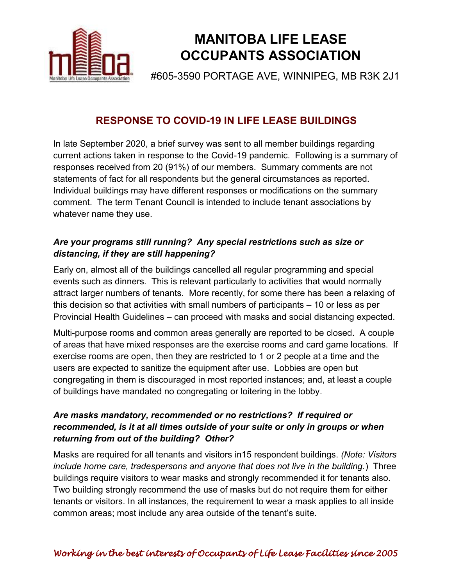

# **MANITOBA LIFE LEASE OCCUPANTS ASSOCIATION**

#605-3590 PORTAGE AVE, WINNIPEG, MB R3K 2J1

# **RESPONSE TO COVID-19 IN LIFE LEASE BUILDINGS**

In late September 2020, a brief survey was sent to all member buildings regarding current actions taken in response to the Covid-19 pandemic. Following is a summary of responses received from 20 (91%) of our members. Summary comments are not statements of fact for all respondents but the general circumstances as reported. Individual buildings may have different responses or modifications on the summary comment. The term Tenant Council is intended to include tenant associations by whatever name they use.

## *Are your programs still running? Any special restrictions such as size or distancing, if they are still happening?*

Early on, almost all of the buildings cancelled all regular programming and special events such as dinners. This is relevant particularly to activities that would normally attract larger numbers of tenants. More recently, for some there has been a relaxing of this decision so that activities with small numbers of participants  $-10$  or less as per Provincial Health Guidelines - can proceed with masks and social distancing expected.

Multi-purpose rooms and common areas generally are reported to be closed. A couple of areas that have mixed responses are the exercise rooms and card game locations. If exercise rooms are open, then they are restricted to 1 or 2 people at a time and the users are expected to sanitize the equipment after use. Lobbies are open but congregating in them is discouraged in most reported instances; and, at least a couple of buildings have mandated no congregating or loitering in the lobby.

### *Are masks mandatory, recommended or no restrictions? If required or recommended, is it at all times outside of your suite or only in groups or when returning from out of the building? Other?*

Masks are required for all tenants and visitors in15 respondent buildings. *(Note: Visitors include home care, tradespersons and anyone that does not live in the building.*) Three buildings require visitors to wear masks and strongly recommended it for tenants also. Two building strongly recommend the use of masks but do not require them for either tenants or visitors. In all instances, the requirement to wear a mask applies to all inside common areas; most include any area outside of the tenant's suite.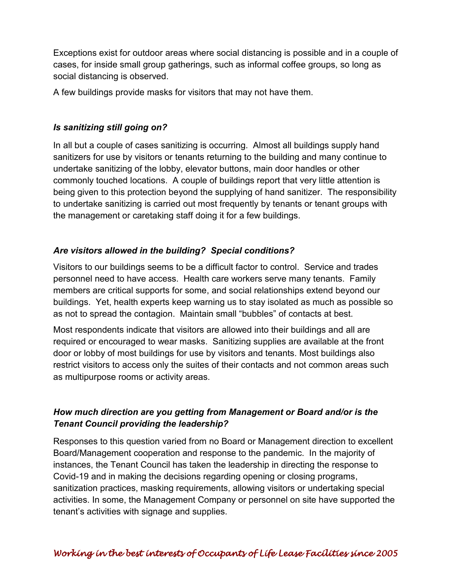Exceptions exist for outdoor areas where social distancing is possible and in a couple of cases, for inside small group gatherings, such as informal coffee groups, so long as social distancing is observed.

A few buildings provide masks for visitors that may not have them.

#### *Is sanitizing still going on?*

In all but a couple of cases sanitizing is occurring. Almost all buildings supply hand sanitizers for use by visitors or tenants returning to the building and many continue to undertake sanitizing of the lobby, elevator buttons, main door handles or other commonly touched locations. A couple of buildings report that very little attention is being given to this protection beyond the supplying of hand sanitizer. The responsibility to undertake sanitizing is carried out most frequently by tenants or tenant groups with the management or caretaking staff doing it for a few buildings.

#### *Are visitors allowed in the building? Special conditions?*

Visitors to our buildings seems to be a difficult factor to control. Service and trades personnel need to have access. Health care workers serve many tenants. Family members are critical supports for some, and social relationships extend beyond our buildings. Yet, health experts keep warning us to stay isolated as much as possible so as not to spread the contagion. Maintain small "bubbles" of contacts at best.

Most respondents indicate that visitors are allowed into their buildings and all are required or encouraged to wear masks. Sanitizing supplies are available at the front door or lobby of most buildings for use by visitors and tenants. Most buildings also restrict visitors to access only the suites of their contacts and not common areas such as multipurpose rooms or activity areas.

#### *How much direction are you getting from Management or Board and/or is the Tenant Council providing the leadership?*

Responses to this question varied from no Board or Management direction to excellent Board/Management cooperation and response to the pandemic. In the majority of instances, the Tenant Council has taken the leadership in directing the response to Covid-19 and in making the decisions regarding opening or closing programs, sanitization practices, masking requirements, allowing visitors or undertaking special activities. In some, the Management Company or personnel on site have supported the tenant's activities with signage and supplies.